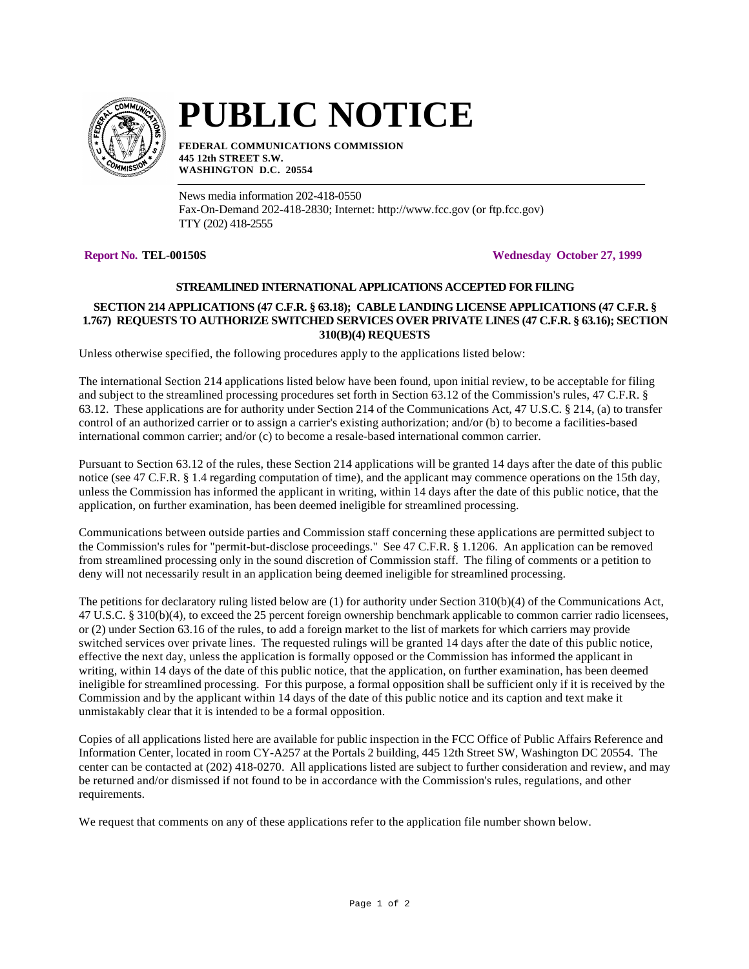

# **PUBLIC NOTICE**

**FEDERAL COMMUNICATIONS COMMISSION 445 12th STREET S.W. WASHINGTON D.C. 20554**

News media information 202-418-0550 Fax-On-Demand 202-418-2830; Internet: http://www.fcc.gov (or ftp.fcc.gov) TTY (202) 418-2555

**Report No. TEL-00150S Wednesday October 27, 1999**

# **STREAMLINED INTERNATIONAL APPLICATIONS ACCEPTED FOR FILING**

# **SECTION 214 APPLICATIONS (47 C.F.R. § 63.18); CABLE LANDING LICENSE APPLICATIONS (47 C.F.R. § 1.767) REQUESTS TO AUTHORIZE SWITCHED SERVICES OVER PRIVATE LINES (47 C.F.R. § 63.16); SECTION 310(B)(4) REQUESTS**

Unless otherwise specified, the following procedures apply to the applications listed below:

The international Section 214 applications listed below have been found, upon initial review, to be acceptable for filing and subject to the streamlined processing procedures set forth in Section 63.12 of the Commission's rules, 47 C.F.R. § 63.12. These applications are for authority under Section 214 of the Communications Act, 47 U.S.C. § 214, (a) to transfer control of an authorized carrier or to assign a carrier's existing authorization; and/or (b) to become a facilities-based international common carrier; and/or (c) to become a resale-based international common carrier.

Pursuant to Section 63.12 of the rules, these Section 214 applications will be granted 14 days after the date of this public notice (see 47 C.F.R. § 1.4 regarding computation of time), and the applicant may commence operations on the 15th day, unless the Commission has informed the applicant in writing, within 14 days after the date of this public notice, that the application, on further examination, has been deemed ineligible for streamlined processing.

Communications between outside parties and Commission staff concerning these applications are permitted subject to the Commission's rules for "permit-but-disclose proceedings." See 47 C.F.R. § 1.1206. An application can be removed from streamlined processing only in the sound discretion of Commission staff. The filing of comments or a petition to deny will not necessarily result in an application being deemed ineligible for streamlined processing.

The petitions for declaratory ruling listed below are (1) for authority under Section 310(b)(4) of the Communications Act, 47 U.S.C. § 310(b)(4), to exceed the 25 percent foreign ownership benchmark applicable to common carrier radio licensees, or (2) under Section 63.16 of the rules, to add a foreign market to the list of markets for which carriers may provide switched services over private lines. The requested rulings will be granted 14 days after the date of this public notice, effective the next day, unless the application is formally opposed or the Commission has informed the applicant in writing, within 14 days of the date of this public notice, that the application, on further examination, has been deemed ineligible for streamlined processing. For this purpose, a formal opposition shall be sufficient only if it is received by the Commission and by the applicant within 14 days of the date of this public notice and its caption and text make it unmistakably clear that it is intended to be a formal opposition.

Copies of all applications listed here are available for public inspection in the FCC Office of Public Affairs Reference and Information Center, located in room CY-A257 at the Portals 2 building, 445 12th Street SW, Washington DC 20554. The center can be contacted at (202) 418-0270. All applications listed are subject to further consideration and review, and may be returned and/or dismissed if not found to be in accordance with the Commission's rules, regulations, and other requirements.

We request that comments on any of these applications refer to the application file number shown below.